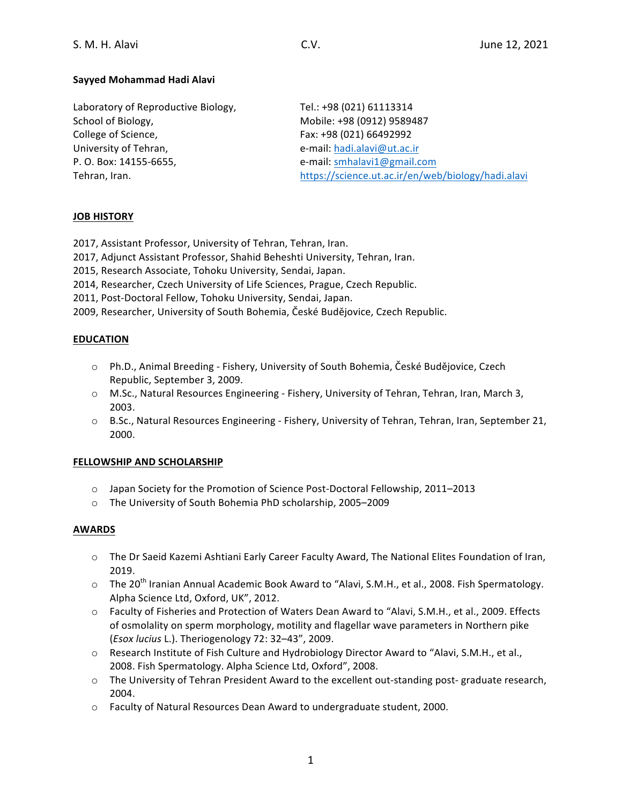# **Sayyed Mohammad Hadi Alavi**

| Tel.: +98 (021) 61113314                           |
|----------------------------------------------------|
| Mobile: +98 (0912) 9589487                         |
| Fax: +98 (021) 66492992                            |
| e-mail: hadi.alavi@ut.ac.ir                        |
| e-mail: smhalavi1@gmail.com                        |
| https://science.ut.ac.ir/en/web/biology/hadi.alavi |
|                                                    |

## **JOB HISTORY**

2017, Assistant Professor, University of Tehran, Tehran, Iran.

2017, Adjunct Assistant Professor, Shahid Beheshti University, Tehran, Iran.

2015, Research Associate, Tohoku University, Sendai, Japan.

- 2014, Researcher, Czech University of Life Sciences, Prague, Czech Republic.
- 2011, Post-Doctoral Fellow, Tohoku University, Sendai, Japan.

2009, Researcher, University of South Bohemia, České Budějovice, Czech Republic.

## **EDUCATION**

- $\circ$  Ph.D., Animal Breeding Fishery, University of South Bohemia, České Budějovice, Czech Republic, September 3, 2009.
- $\circ$  M.Sc., Natural Resources Engineering Fishery, University of Tehran, Tehran, Iran, March 3, 2003.
- $\circ$  B.Sc., Natural Resources Engineering Fishery, University of Tehran, Tehran, Iran, September 21, 2000.

## **FELLOWSHIP AND SCHOLARSHIP**

- o Japan Society for the Promotion of Science Post-Doctoral Fellowship, 2011–2013
- o The University of South Bohemia PhD scholarship, 2005-2009

## **AWARDS**

- $\circ$  The Dr Saeid Kazemi Ashtiani Early Career Faculty Award, The National Elites Foundation of Iran, 2019.
- o The 20<sup>th</sup> Iranian Annual Academic Book Award to "Alavi, S.M.H., et al., 2008. Fish Spermatology. Alpha Science Ltd, Oxford, UK", 2012.
- o Faculty of Fisheries and Protection of Waters Dean Award to "Alavi, S.M.H., et al., 2009. Effects of osmolality on sperm morphology, motility and flagellar wave parameters in Northern pike (*Esox lucius* L.). Theriogenology 72: 32–43", 2009.
- Research Institute of Fish Culture and Hydrobiology Director Award to "Alavi, S.M.H., et al., 2008. Fish Spermatology. Alpha Science Ltd, Oxford", 2008.
- $\circ$  The University of Tehran President Award to the excellent out-standing post-graduate research, 2004.
- $\circ$  Faculty of Natural Resources Dean Award to undergraduate student, 2000.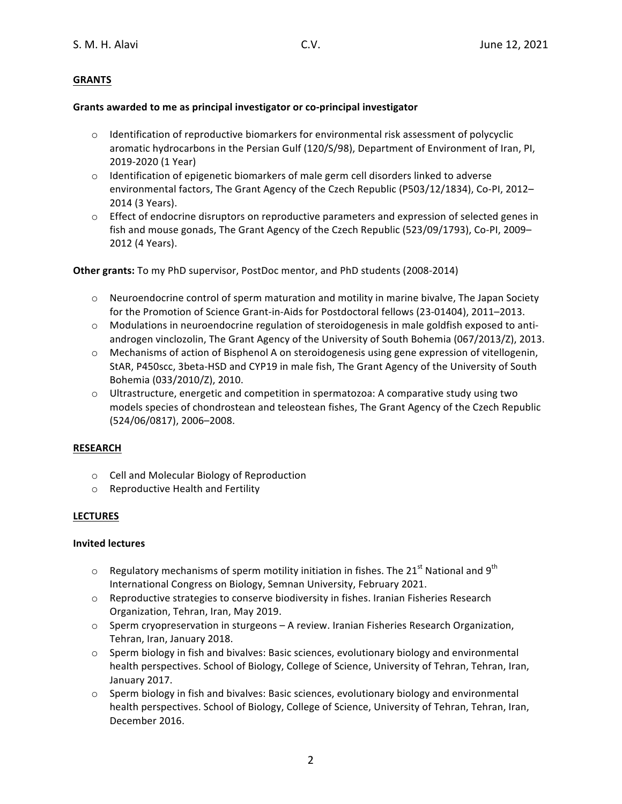# **GRANTS**

## Grants awarded to me as principal investigator or co-principal investigator

- $\circ$  Identification of reproductive biomarkers for environmental risk assessment of polycyclic aromatic hydrocarbons in the Persian Gulf (120/S/98), Department of Environment of Iran, PI, 2019-2020 (1 Year)
- $\circ$  Identification of epigenetic biomarkers of male germ cell disorders linked to adverse environmental factors, The Grant Agency of the Czech Republic (P503/12/1834), Co-PI, 2012-2014 (3 Years).
- $\circ$  Effect of endocrine disruptors on reproductive parameters and expression of selected genes in fish and mouse gonads, The Grant Agency of the Czech Republic  $(523/09/1793)$ , Co-PI, 2009– 2012 (4 Years).

**Other grants:** To my PhD supervisor, PostDoc mentor, and PhD students (2008-2014)

- $\circ$  Neuroendocrine control of sperm maturation and motility in marine bivalve, The Japan Society for the Promotion of Science Grant-in-Aids for Postdoctoral fellows (23-01404), 2011–2013.
- $\circ$  Modulations in neuroendocrine regulation of steroidogenesis in male goldfish exposed to antiandrogen vinclozolin, The Grant Agency of the University of South Bohemia (067/2013/Z), 2013.
- $\circ$  Mechanisms of action of Bisphenol A on steroidogenesis using gene expression of vitellogenin, StAR, P450scc, 3beta-HSD and CYP19 in male fish, The Grant Agency of the University of South Bohemia (033/2010/Z), 2010.
- $\circ$  Ultrastructure, energetic and competition in spermatozoa: A comparative study using two models species of chondrostean and teleostean fishes, The Grant Agency of the Czech Republic (524/06/0817), 2006-2008.

## **RESEARCH**

- o Cell and Molecular Biology of Reproduction
- $\circ$  Reproductive Health and Fertility

# **LECTURES**

## **Invited lectures**

- $\circ$  Regulatory mechanisms of sperm motility initiation in fishes. The 21<sup>st</sup> National and 9<sup>th</sup> International Congress on Biology, Semnan University, February 2021.
- $\circ$  Reproductive strategies to conserve biodiversity in fishes. Iranian Fisheries Research Organization, Tehran, Iran, May 2019.
- $\circ$  Sperm cryopreservation in sturgeons A review. Iranian Fisheries Research Organization, Tehran, Iran, January 2018.
- $\circ$  Sperm biology in fish and bivalves: Basic sciences, evolutionary biology and environmental health perspectives. School of Biology, College of Science, University of Tehran, Tehran, Iran, January 2017.
- $\circ$  Sperm biology in fish and bivalves: Basic sciences, evolutionary biology and environmental health perspectives. School of Biology, College of Science, University of Tehran, Tehran, Iran, December 2016.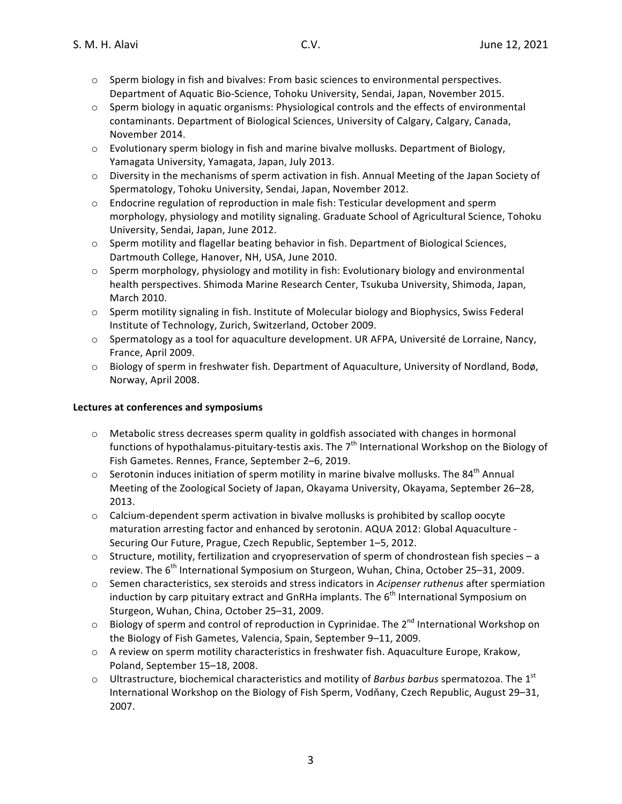- $\circ$  Sperm biology in fish and bivalves: From basic sciences to environmental perspectives. Department of Aquatic Bio-Science, Tohoku University, Sendai, Japan, November 2015.
- $\circ$  Sperm biology in aquatic organisms: Physiological controls and the effects of environmental contaminants. Department of Biological Sciences, University of Calgary, Calgary, Canada, November 2014.
- $\circ$  Evolutionary sperm biology in fish and marine bivalve mollusks. Department of Biology, Yamagata University, Yamagata, Japan, July 2013.
- $\circ$  Diversity in the mechanisms of sperm activation in fish. Annual Meeting of the Japan Society of Spermatology, Tohoku University, Sendai, Japan, November 2012.
- $\circ$  Endocrine regulation of reproduction in male fish: Testicular development and sperm morphology, physiology and motility signaling. Graduate School of Agricultural Science, Tohoku University, Sendai, Japan, June 2012.
- o Sperm motility and flagellar beating behavior in fish. Department of Biological Sciences, Dartmouth College, Hanover, NH, USA, June 2010.
- $\circ$  Sperm morphology, physiology and motility in fish: Evolutionary biology and environmental health perspectives. Shimoda Marine Research Center, Tsukuba University, Shimoda, Japan, March 2010.
- $\circ$  Sperm motility signaling in fish. Institute of Molecular biology and Biophysics, Swiss Federal Institute of Technology, Zurich, Switzerland, October 2009.
- $\circ$  Spermatology as a tool for aquaculture development. UR AFPA, Université de Lorraine, Nancy, France, April 2009.
- o Biology of sperm in freshwater fish. Department of Aquaculture, University of Nordland, Bodø, Norway, April 2008.

## Lectures at conferences and symposiums

- $\circ$  Metabolic stress decreases sperm quality in goldfish associated with changes in hormonal functions of hypothalamus-pituitary-testis axis. The  $7<sup>th</sup>$  International Workshop on the Biology of Fish Gametes. Rennes, France, September 2-6, 2019.
- $\circ$  Serotonin induces initiation of sperm motility in marine bivalve mollusks. The 84<sup>th</sup> Annual Meeting of the Zoological Society of Japan, Okayama University, Okayama, September 26–28, 2013.
- $\circ$  Calcium-dependent sperm activation in bivalve mollusks is prohibited by scallop oocyte maturation arresting factor and enhanced by serotonin. AQUA 2012: Global Aquaculture -Securing Our Future, Prague, Czech Republic, September 1-5, 2012.
- $\circ$  Structure, motility, fertilization and cryopreservation of sperm of chondrostean fish species a review. The  $6<sup>th</sup>$  International Symposium on Sturgeon, Wuhan, China, October 25–31, 2009.
- $\circ$  Semen characteristics, sex steroids and stress indicators in *Acipenser ruthenus* after spermiation induction by carp pituitary extract and GnRHa implants. The  $6<sup>th</sup>$  International Symposium on Sturgeon, Wuhan, China, October 25-31, 2009.
- $\circ$  Biology of sperm and control of reproduction in Cyprinidae. The 2<sup>nd</sup> International Workshop on the Biology of Fish Gametes, Valencia, Spain, September 9-11, 2009.
- $\circ$  A review on sperm motility characteristics in freshwater fish. Aquaculture Europe, Krakow, Poland, September 15-18, 2008.
- $\circ$  Ultrastructure, biochemical characteristics and motility of *Barbus barbus* spermatozoa. The 1<sup>st</sup> International Workshop on the Biology of Fish Sperm, Vodňany, Czech Republic, August 29–31, 2007.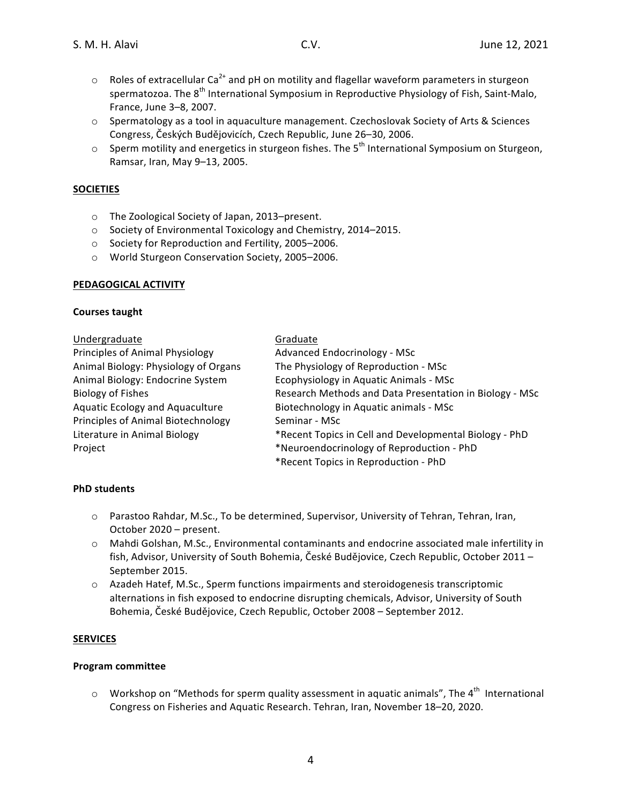- $\circ$  Roles of extracellular Ca<sup>2+</sup> and pH on motility and flagellar waveform parameters in sturgeon spermatozoa. The  $8<sup>th</sup>$  International Symposium in Reproductive Physiology of Fish, Saint-Malo, France, June 3-8, 2007.
- $\circ$  Spermatology as a tool in aquaculture management. Czechoslovak Society of Arts & Sciences Congress, Českých Budějovicích, Czech Republic, June 26–30, 2006.
- $\circ$  Sperm motility and energetics in sturgeon fishes. The  $5^{th}$  International Symposium on Sturgeon. Ramsar, Iran, May 9-13, 2005.

## **SOCIETIES**

- o The Zoological Society of Japan, 2013-present.
- o Society of Environmental Toxicology and Chemistry, 2014–2015.
- o Society for Reproduction and Fertility, 2005–2006.
- o World Sturgeon Conservation Society, 2005-2006.

## **PEDAGOGICAL ACTIVITY**

#### **Courses taught**

| Undergraduate                          | Graduate                                                |
|----------------------------------------|---------------------------------------------------------|
| Principles of Animal Physiology        | Advanced Endocrinology - MSc                            |
| Animal Biology: Physiology of Organs   | The Physiology of Reproduction - MSc                    |
| Animal Biology: Endocrine System       | Ecophysiology in Aquatic Animals - MSc                  |
| <b>Biology of Fishes</b>               | Research Methods and Data Presentation in Biology - MSc |
| <b>Aquatic Ecology and Aquaculture</b> | Biotechnology in Aquatic animals - MSc                  |
| Principles of Animal Biotechnology     | Seminar - MSc                                           |
| Literature in Animal Biology           | *Recent Topics in Cell and Developmental Biology - PhD  |
| Project                                | *Neuroendocrinology of Reproduction - PhD               |
|                                        | *Recent Topics in Reproduction - PhD                    |

## **PhD students**

- $\circ$  Parastoo Rahdar, M.Sc., To be determined, Supervisor, University of Tehran, Tehran, Iran, October 2020 – present.
- $\circ$  Mahdi Golshan, M.Sc., Environmental contaminants and endocrine associated male infertility in fish, Advisor, University of South Bohemia, České Budějovice, Czech Republic, October 2011 – September 2015.
- o Azadeh Hatef, M.Sc., Sperm functions impairments and steroidogenesis transcriptomic alternations in fish exposed to endocrine disrupting chemicals, Advisor, University of South Bohemia, České Budějovice, Czech Republic, October 2008 – September 2012.

## **SERVICES**

## **Program committee**

 $\circ$  Workshop on "Methods for sperm quality assessment in aquatic animals", The 4<sup>th</sup> International Congress on Fisheries and Aquatic Research. Tehran, Iran, November 18–20, 2020.